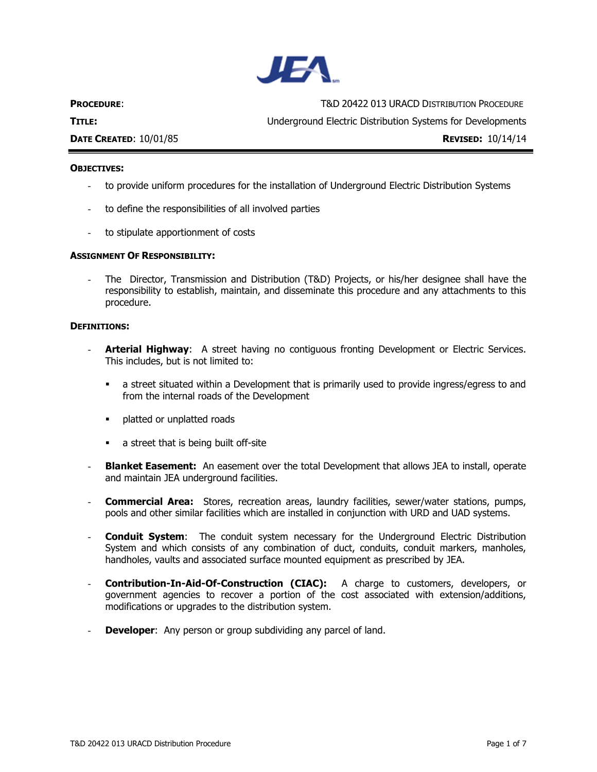

**PROCEDURE:** T&D 20422 013 URACD DISTRIBUTION PROCEDURE **TITLE:** Underground Electric Distribution Systems for Developments **DATE CREATED**: 10/01/85 **REVISED:** 10/14/14

#### **OBJECTIVES:**

- to provide uniform procedures for the installation of Underground Electric Distribution Systems
- to define the responsibilities of all involved parties
- to stipulate apportionment of costs

#### **ASSIGNMENT OF RESPONSIBILITY:**

The Director, Transmission and Distribution (T&D) Projects, or his/her designee shall have the responsibility to establish, maintain, and disseminate this procedure and any attachments to this procedure.

#### **DEFINITIONS:**

- **Arterial Highway**: A street having no contiguous fronting Development or Electric Services. This includes, but is not limited to:
	- a street situated within a Development that is primarily used to provide ingress/egress to and from the internal roads of the Development
	- **•** platted or unplatted roads
	- **a** street that is being built off-site
- Blanket Easement: An easement over the total Development that allows JEA to install, operate and maintain JEA underground facilities.
- **Commercial Area:** Stores, recreation areas, laundry facilities, sewer/water stations, pumps, pools and other similar facilities which are installed in conjunction with URD and UAD systems.
- **Conduit System**: The conduit system necessary for the Underground Electric Distribution System and which consists of any combination of duct, conduits, conduit markers, manholes, handholes, vaults and associated surface mounted equipment as prescribed by JEA.
- **Contribution-In-Aid-Of-Construction (CIAC):** A charge to customers, developers, or government agencies to recover a portion of the cost associated with extension/additions, modifications or upgrades to the distribution system.
- **Developer:** Any person or group subdividing any parcel of land.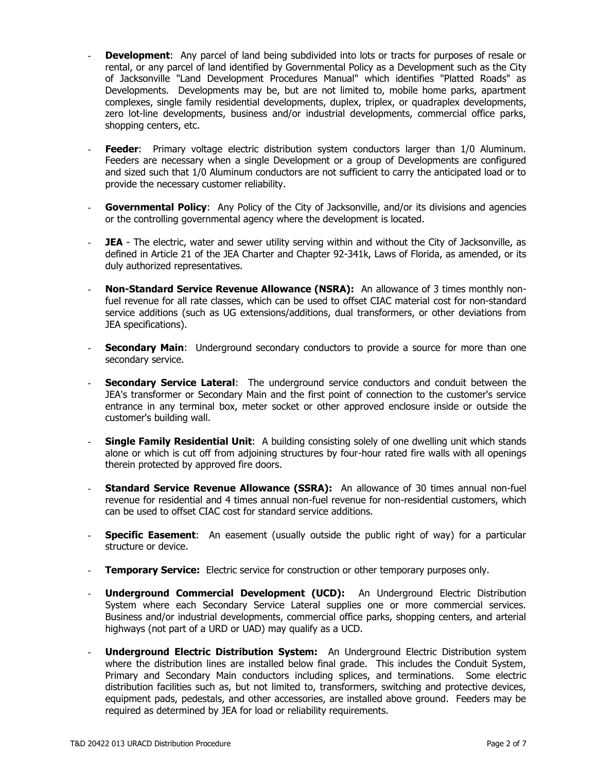- **Development:** Any parcel of land being subdivided into lots or tracts for purposes of resale or rental, or any parcel of land identified by Governmental Policy as a Development such as the City of Jacksonville "Land Development Procedures Manual" which identifies "Platted Roads" as Developments. Developments may be, but are not limited to, mobile home parks, apartment complexes, single family residential developments, duplex, triplex, or quadraplex developments, zero lot-line developments, business and/or industrial developments, commercial office parks, shopping centers, etc.
- **Feeder:** Primary voltage electric distribution system conductors larger than 1/0 Aluminum. Feeders are necessary when a single Development or a group of Developments are configured and sized such that 1/0 Aluminum conductors are not sufficient to carry the anticipated load or to provide the necessary customer reliability.
- **Governmental Policy:** Any Policy of the City of Jacksonville, and/or its divisions and agencies or the controlling governmental agency where the development is located.
- **JEA** The electric, water and sewer utility serving within and without the City of Jacksonville, as defined in Article 21 of the JEA Charter and Chapter 92-341k, Laws of Florida, as amended, or its duly authorized representatives.
- Non-Standard Service Revenue Allowance (NSRA): An allowance of 3 times monthly nonfuel revenue for all rate classes, which can be used to offset CIAC material cost for non-standard service additions (such as UG extensions/additions, dual transformers, or other deviations from JEA specifications).
- **Secondary Main:** Underground secondary conductors to provide a source for more than one secondary service.
- **Secondary Service Lateral:** The underground service conductors and conduit between the JEA's transformer or Secondary Main and the first point of connection to the customer's service entrance in any terminal box, meter socket or other approved enclosure inside or outside the customer's building wall.
- **Single Family Residential Unit:** A building consisting solely of one dwelling unit which stands alone or which is cut off from adjoining structures by four-hour rated fire walls with all openings therein protected by approved fire doors.
- **Standard Service Revenue Allowance (SSRA):** An allowance of 30 times annual non-fuel revenue for residential and 4 times annual non-fuel revenue for non-residential customers, which can be used to offset CIAC cost for standard service additions.
- **Specific Easement:** An easement (usually outside the public right of way) for a particular structure or device.
- **Temporary Service:** Electric service for construction or other temporary purposes only.
- **Underground Commercial Development (UCD):** An Underground Electric Distribution System where each Secondary Service Lateral supplies one or more commercial services. Business and/or industrial developments, commercial office parks, shopping centers, and arterial highways (not part of a URD or UAD) may qualify as a UCD.
- **Underground Electric Distribution System:** An Underground Electric Distribution system where the distribution lines are installed below final grade. This includes the Conduit System, Primary and Secondary Main conductors including splices, and terminations. Some electric distribution facilities such as, but not limited to, transformers, switching and protective devices, equipment pads, pedestals, and other accessories, are installed above ground. Feeders may be required as determined by JEA for load or reliability requirements.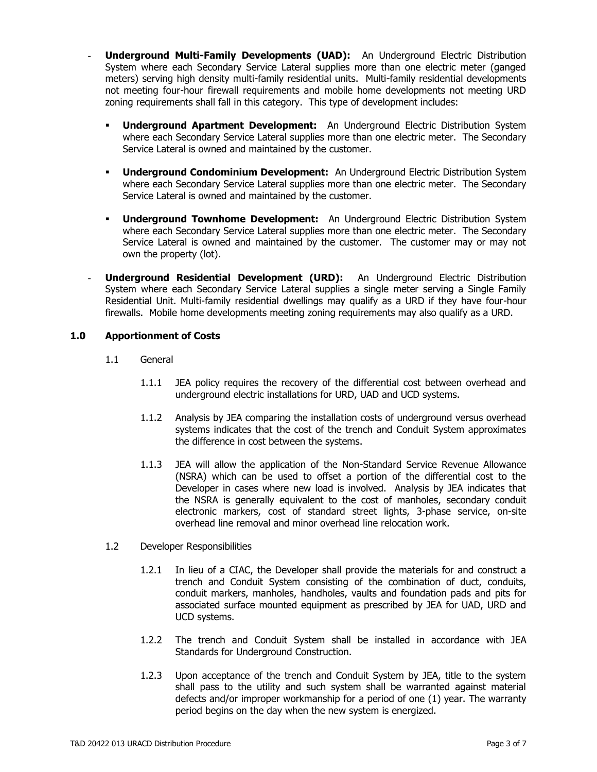- **Underground Multi-Family Developments (UAD):** An Underground Electric Distribution System where each Secondary Service Lateral supplies more than one electric meter (ganged meters) serving high density multi-family residential units. Multi-family residential developments not meeting four-hour firewall requirements and mobile home developments not meeting URD zoning requirements shall fall in this category. This type of development includes:
	- **Underground Apartment Development:** An Underground Electric Distribution System where each Secondary Service Lateral supplies more than one electric meter. The Secondary Service Lateral is owned and maintained by the customer.
	- **Underground Condominium Development:** An Underground Electric Distribution System where each Secondary Service Lateral supplies more than one electric meter. The Secondary Service Lateral is owned and maintained by the customer.
	- **Underground Townhome Development:** An Underground Electric Distribution System where each Secondary Service Lateral supplies more than one electric meter. The Secondary Service Lateral is owned and maintained by the customer. The customer may or may not own the property (lot).
- **Underground Residential Development (URD):** An Underground Electric Distribution System where each Secondary Service Lateral supplies a single meter serving a Single Family Residential Unit. Multi-family residential dwellings may qualify as a URD if they have four-hour firewalls. Mobile home developments meeting zoning requirements may also qualify as a URD.

## **1.0 Apportionment of Costs**

- 1.1 General
	- 1.1.1 JEA policy requires the recovery of the differential cost between overhead and underground electric installations for URD, UAD and UCD systems.
	- 1.1.2 Analysis by JEA comparing the installation costs of underground versus overhead systems indicates that the cost of the trench and Conduit System approximates the difference in cost between the systems.
	- 1.1.3 JEA will allow the application of the Non-Standard Service Revenue Allowance (NSRA) which can be used to offset a portion of the differential cost to the Developer in cases where new load is involved. Analysis by JEA indicates that the NSRA is generally equivalent to the cost of manholes, secondary conduit electronic markers, cost of standard street lights, 3-phase service, on-site overhead line removal and minor overhead line relocation work.
- 1.2 Developer Responsibilities
	- 1.2.1 In lieu of a CIAC, the Developer shall provide the materials for and construct a trench and Conduit System consisting of the combination of duct, conduits, conduit markers, manholes, handholes, vaults and foundation pads and pits for associated surface mounted equipment as prescribed by JEA for UAD, URD and UCD systems.
	- 1.2.2 The trench and Conduit System shall be installed in accordance with JEA Standards for Underground Construction.
	- 1.2.3 Upon acceptance of the trench and Conduit System by JEA, title to the system shall pass to the utility and such system shall be warranted against material defects and/or improper workmanship for a period of one (1) year. The warranty period begins on the day when the new system is energized.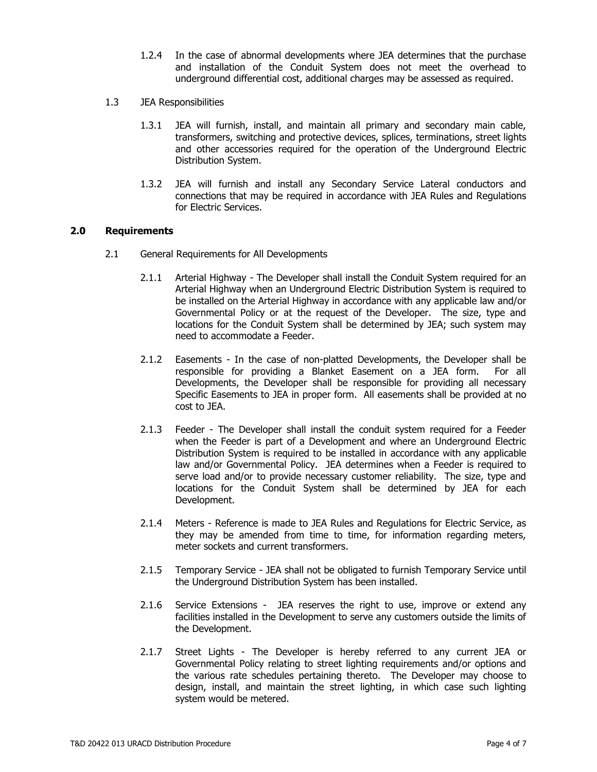- 1.2.4 In the case of abnormal developments where JEA determines that the purchase and installation of the Conduit System does not meet the overhead to underground differential cost, additional charges may be assessed as required.
- 1.3 JEA Responsibilities
	- 1.3.1 JEA will furnish, install, and maintain all primary and secondary main cable, transformers, switching and protective devices, splices, terminations, street lights and other accessories required for the operation of the Underground Electric Distribution System.
	- 1.3.2 JEA will furnish and install any Secondary Service Lateral conductors and connections that may be required in accordance with JEA Rules and Regulations for Electric Services.

#### **2.0 Requirements**

- 2.1 General Requirements for All Developments
	- 2.1.1 Arterial Highway The Developer shall install the Conduit System required for an Arterial Highway when an Underground Electric Distribution System is required to be installed on the Arterial Highway in accordance with any applicable law and/or Governmental Policy or at the request of the Developer. The size, type and locations for the Conduit System shall be determined by JEA; such system may need to accommodate a Feeder.
	- 2.1.2 Easements In the case of non-platted Developments, the Developer shall be responsible for providing a Blanket Easement on a JEA form. For all Developments, the Developer shall be responsible for providing all necessary Specific Easements to JEA in proper form. All easements shall be provided at no cost to JEA.
	- 2.1.3 Feeder The Developer shall install the conduit system required for a Feeder when the Feeder is part of a Development and where an Underground Electric Distribution System is required to be installed in accordance with any applicable law and/or Governmental Policy. JEA determines when a Feeder is required to serve load and/or to provide necessary customer reliability. The size, type and locations for the Conduit System shall be determined by JEA for each Development.
	- 2.1.4 Meters Reference is made to JEA Rules and Regulations for Electric Service, as they may be amended from time to time, for information regarding meters, meter sockets and current transformers.
	- 2.1.5 Temporary Service JEA shall not be obligated to furnish Temporary Service until the Underground Distribution System has been installed.
	- 2.1.6 Service Extensions JEA reserves the right to use, improve or extend any facilities installed in the Development to serve any customers outside the limits of the Development.
	- 2.1.7 Street Lights The Developer is hereby referred to any current JEA or Governmental Policy relating to street lighting requirements and/or options and the various rate schedules pertaining thereto. The Developer may choose to design, install, and maintain the street lighting, in which case such lighting system would be metered.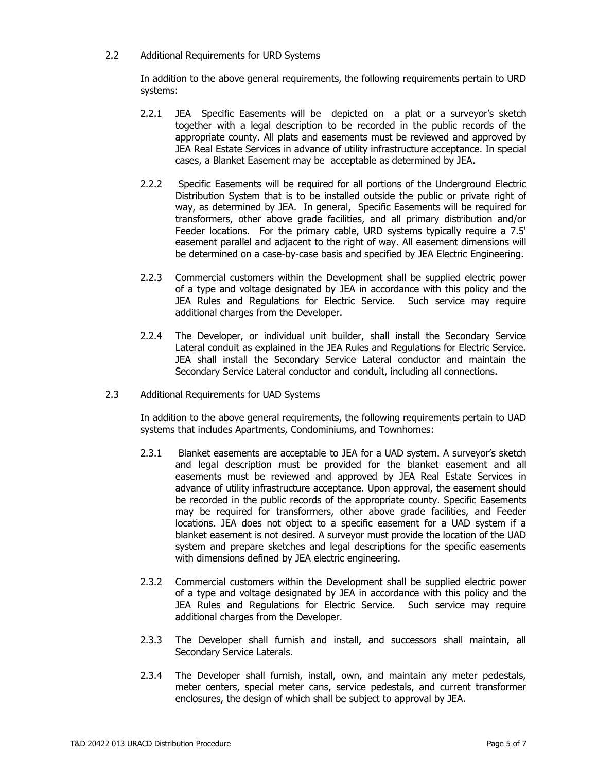### 2.2 Additional Requirements for URD Systems

In addition to the above general requirements, the following requirements pertain to URD systems:

- 2.2.1 JEA Specific Easements will be depicted on a plat or a surveyor's sketch together with a legal description to be recorded in the public records of the appropriate county. All plats and easements must be reviewed and approved by JEA Real Estate Services in advance of utility infrastructure acceptance. In special cases, a Blanket Easement may be acceptable as determined by JEA.
- 2.2.2 Specific Easements will be required for all portions of the Underground Electric Distribution System that is to be installed outside the public or private right of way, as determined by JEA. In general, Specific Easements will be required for transformers, other above grade facilities, and all primary distribution and/or Feeder locations. For the primary cable, URD systems typically require a 7.5' easement parallel and adjacent to the right of way. All easement dimensions will be determined on a case-by-case basis and specified by JEA Electric Engineering.
- 2.2.3 Commercial customers within the Development shall be supplied electric power of a type and voltage designated by JEA in accordance with this policy and the JEA Rules and Regulations for Electric Service. Such service may require additional charges from the Developer.
- 2.2.4 The Developer, or individual unit builder, shall install the Secondary Service Lateral conduit as explained in the JEA Rules and Regulations for Electric Service. JEA shall install the Secondary Service Lateral conductor and maintain the Secondary Service Lateral conductor and conduit, including all connections.
- 2.3 Additional Requirements for UAD Systems

In addition to the above general requirements, the following requirements pertain to UAD systems that includes Apartments, Condominiums, and Townhomes:

- 2.3.1 Blanket easements are acceptable to JEA for a UAD system. A surveyor's sketch and legal description must be provided for the blanket easement and all easements must be reviewed and approved by JEA Real Estate Services in advance of utility infrastructure acceptance. Upon approval, the easement should be recorded in the public records of the appropriate county. Specific Easements may be required for transformers, other above grade facilities, and Feeder locations. JEA does not object to a specific easement for a UAD system if a blanket easement is not desired. A surveyor must provide the location of the UAD system and prepare sketches and legal descriptions for the specific easements with dimensions defined by JEA electric engineering.
- 2.3.2 Commercial customers within the Development shall be supplied electric power of a type and voltage designated by JEA in accordance with this policy and the JEA Rules and Regulations for Electric Service. Such service may require additional charges from the Developer.
- 2.3.3 The Developer shall furnish and install, and successors shall maintain, all Secondary Service Laterals.
- 2.3.4 The Developer shall furnish, install, own, and maintain any meter pedestals, meter centers, special meter cans, service pedestals, and current transformer enclosures, the design of which shall be subject to approval by JEA.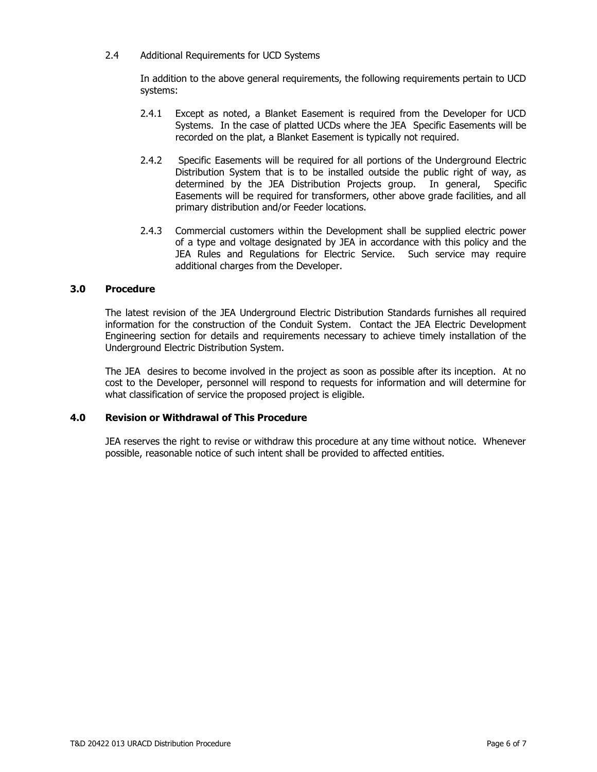#### 2.4 Additional Requirements for UCD Systems

In addition to the above general requirements, the following requirements pertain to UCD systems:

- 2.4.1 Except as noted, a Blanket Easement is required from the Developer for UCD Systems. In the case of platted UCDs where the JEA Specific Easements will be recorded on the plat, a Blanket Easement is typically not required.
- 2.4.2 Specific Easements will be required for all portions of the Underground Electric Distribution System that is to be installed outside the public right of way, as determined by the JEA Distribution Projects group. In general, Specific Easements will be required for transformers, other above grade facilities, and all primary distribution and/or Feeder locations.
- 2.4.3 Commercial customers within the Development shall be supplied electric power of a type and voltage designated by JEA in accordance with this policy and the JEA Rules and Regulations for Electric Service. Such service may require additional charges from the Developer.

### **3.0 Procedure**

The latest revision of the JEA Underground Electric Distribution Standards furnishes all required information for the construction of the Conduit System. Contact the JEA Electric Development Engineering section for details and requirements necessary to achieve timely installation of the Underground Electric Distribution System.

The JEA desires to become involved in the project as soon as possible after its inception. At no cost to the Developer, personnel will respond to requests for information and will determine for what classification of service the proposed project is eligible.

#### **4.0 Revision or Withdrawal of This Procedure**

JEA reserves the right to revise or withdraw this procedure at any time without notice. Whenever possible, reasonable notice of such intent shall be provided to affected entities.